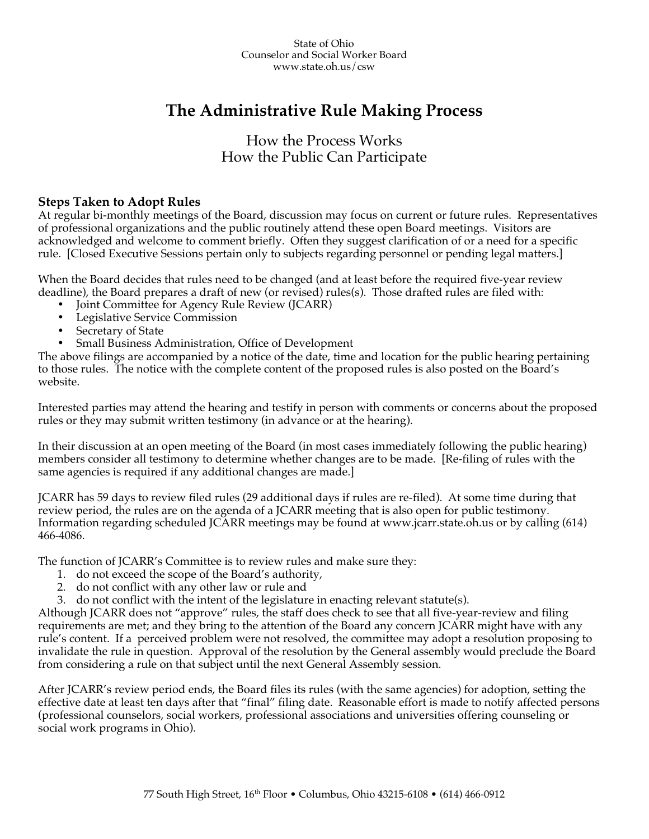# **The Administrative Rule Making Process**

## How the Process Works How the Public Can Participate

### **Steps Taken to Adopt Rules**

At regular bi-monthly meetings of the Board, discussion may focus on current or future rules. Representatives of professional organizations and the public routinely attend these open Board meetings. Visitors are acknowledged and welcome to comment briefly. Often they suggest clarification of or a need for a specific rule. [Closed Executive Sessions pertain only to subjects regarding personnel or pending legal matters.]

When the Board decides that rules need to be changed (and at least before the required five-year review deadline), the Board prepares a draft of new (or revised) rules(s). Those drafted rules are filed with:

- Joint Committee for Agency Rule Review (JCARR)
- Legislative Service Commission
- Secretary of State
- Small Business Administration, Office of Development

The above filings are accompanied by a notice of the date, time and location for the public hearing pertaining to those rules. The notice with the complete content of the proposed rules is also posted on the Board's website.

Interested parties may attend the hearing and testify in person with comments or concerns about the proposed rules or they may submit written testimony (in advance or at the hearing).

In their discussion at an open meeting of the Board (in most cases immediately following the public hearing) members consider all testimony to determine whether changes are to be made. [Re-filing of rules with the same agencies is required if any additional changes are made.]

JCARR has 59 days to review filed rules (29 additional days if rules are re-filed). At some time during that review period, the rules are on the agenda of a JCARR meeting that is also open for public testimony. Information regarding scheduled JCARR meetings may be found at www.jcarr.state.oh.us or by calling (614) 466-4086.

The function of JCARR's Committee is to review rules and make sure they:

- 1. do not exceed the scope of the Board's authority,
- 2. do not conflict with any other law or rule and
- 3. do not conflict with the intent of the legislature in enacting relevant statute(s).

Although JCARR does not "approve" rules, the staff does check to see that all five-year-review and filing requirements are met; and they bring to the attention of the Board any concern JCARR might have with any rule's content. If a perceived problem were not resolved, the committee may adopt a resolution proposing to invalidate the rule in question. Approval of the resolution by the General assembly would preclude the Board from considering a rule on that subject until the next General Assembly session.

After JCARR's review period ends, the Board files its rules (with the same agencies) for adoption, setting the effective date at least ten days after that "final" filing date. Reasonable effort is made to notify affected persons (professional counselors, social workers, professional associations and universities offering counseling or social work programs in Ohio).